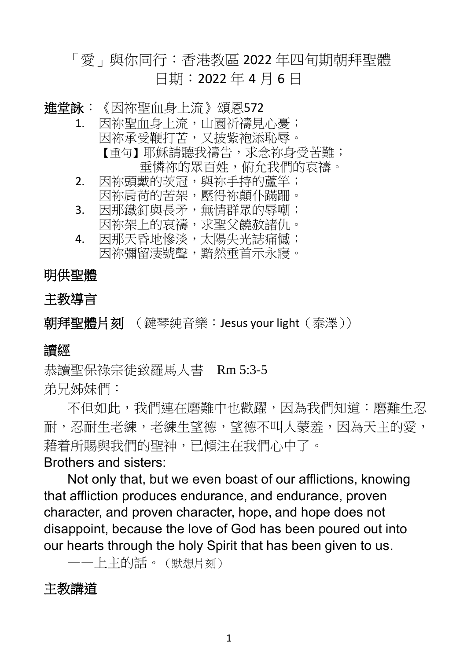# 「愛」與你同行:香港教區 2022 年四旬期朝拜聖體 日期:2022 年 4 月 6 日

- 進堂詠:《因祢聖血身上流》頌恩572
	- 1. 因祢聖血身上流,川園祈禱見心憂; 因祢承受鞭打苦,又披紫袍添恥辱。 【重句】耶穌請聽我禱告,求念祢身受苦難; 垂憐祢的眾百姓,俯允我們的哀禱。
	- 2. 因祢頭戴的茨冠,與祢手持的蘆竿; 因祢肩荷的苦架,壓得祢顛仆蹣跚。
	- 3. 因那鐵釘與長矛,無情群眾的辱嘲;
		- 因祢架上的哀禱,求聖父饒赦諸仇。
	- 4. 因那天昏地慘淡,太陽失光誌痛憾; 因祢彌留淒號聲,黯然垂首示永寢。

### 明供聖體

### 主教導言

朝拜聖體片刻 (鍵琴純音樂: Jesus your light (泰澤))

### 讀經

恭讀聖保祿宗徒致羅馬人書 Rm 5:3-5 弟兄姊妹們:

不但如此,我們連在磨難中也歡躍,因為我們知道:磨難生忍 耐,忍耐生老練,老練生望德,望德不叫人蒙羞,因為天主的愛, 藉着所賜與我們的聖神,已傾注在我們心中了。

### Brothers and sisters:

Not only that, but we even boast of our afflictions, knowing that affliction produces endurance, and endurance, proven character, and proven character, hope, and hope does not disappoint, because the love of God has been poured out into our hearts through the holy Spirit that has been given to us.

——上主的話。(默想片刻)

## 主教講道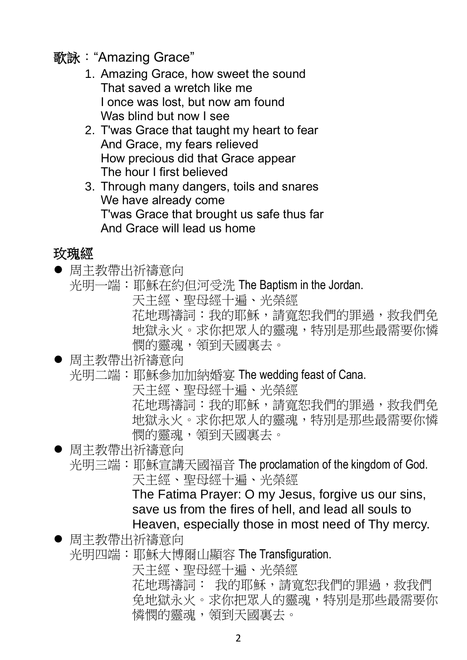# 歌詠: "Amazing Grace"

- 1. Amazing Grace, how sweet the sound That saved a wretch like me I once was lost, but now am found Was blind but now I see
- 2. T'was Grace that taught my heart to fear And Grace, my fears relieved How precious did that Grace appear The hour I first believed
- 3. Through many dangers, toils and snares We have already come T'was Grace that brought us safe thus far And Grace will lead us home

# 玫瑰經

- ⚫ 周主教帶出祈禱意向
	- 光明一端:耶穌在約但河受洗 The Baptism in the Jordan. 天主經、聖母經十遍、光榮經
		- 花地瑪禱詞:我的耶穌,請寬恕我們的罪過,救我們免 地獄永火。求你把眾人的靈魂,特別是那些最需要你憐 憫的靈魂,領到天國裏去。

● 周主教帶出祈禱意向

光明二端:耶穌參加加納婚宴 The wedding feast of Cana.

天主經、聖母經十遍、光榮經

花地瑪禱詞:我的耶穌,請寬恕我們的罪過,救我們免 地獄永火。求你把眾人的靈魂,特別是那些最需要你憐 憫的靈魂,領到天國裏去。

● 周主教帶出祈禱意向

光明三端:耶穌宣講天國福音 The proclamation of the kingdom of God. 天主經、聖母經十遍、光榮經

> The Fatima Prayer: O my Jesus, forgive us our sins, save us from the fires of hell, and lead all souls to Heaven, especially those in most need of Thy mercy.

● 周主教帶出祈禱意向

光明四端:耶穌大博爾山顯容 The Transfiguration.

天主經、聖母經十遍、光榮經

花地瑪禱詞: 我的耶穌,請寬恕我們的罪過,救我們 免地獄永火。求你把眾人的靈魂,特別是那些最需要你 憐憫的靈魂,領到天國裏去。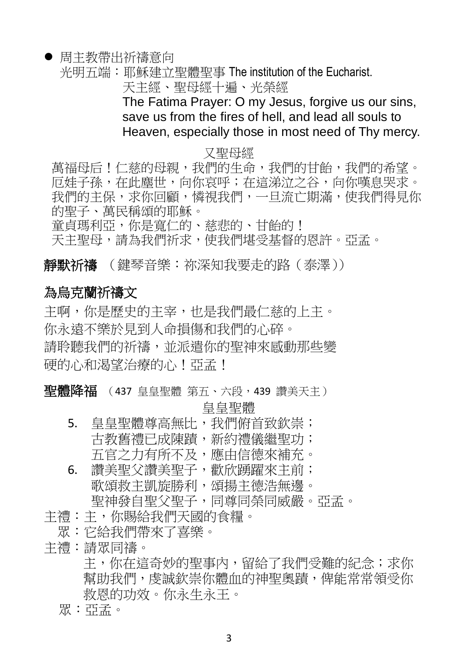### ● 周主教帶出祈禱意向

光明五端:耶穌建立聖體聖事 The institution of the Eucharist.

天主經、聖母經十遍、光榮經

The Fatima Prayer: O my Jesus, forgive us our sins, save us from the fires of hell, and lead all souls to Heaven, especially those in most need of Thy mercy.

#### 又聖母經

萬福母后!仁慈的母親,我們的生命,我們的甘飴,我們的希望。 厄娃子孫,在此塵世,向你哀呼;在這涕泣之谷,向你嘆息哭求。 我們的主保,求你回顧,憐視我們,一旦流亡期滿,使我們得見你 的聖子、萬民稱頌的耶穌。

童貞瑪利亞,你是寬仁的、慈悲的、甘飴的! 天主聖母,請為我們祈求,使我們堪受基督的恩許。亞孟。

**靜默祈禱** (鍵琴音樂:祢深知我要走的路 (泰澤))

### 為烏克蘭祈禱文

主啊,你是歷史的主宰,也是我們最仁慈的上主。 你永遠不樂於見到人命損傷和我們的心碎。 請聆聽我們的祈禱,並派遣你的聖神來感動那些變 硬的心和渴望治療的心!亞孟!

聖體降福 (437 皇皇聖體 第五、六段,439 讚美天主)

皇皇聖體

- 5. 皇皇聖體尊高無比,我們俯首致欽崇; 古教舊禮已成陳蹟,新約禮儀繼聖功; 五官之力有所不及,應由信德來補充。 6. 讚美聖父讚美聖子,歡欣踴躍來主前;
	- 歌頌救主凱旋勝利,頌揚主德浩無邊。
	- 聖神發自聖父聖子,同尊同榮同威嚴。亞孟。
- 主禮:主,你賜給我們天國的食糧。
	- 眾:它給我們帶來了喜樂。
- 主禮:請眾同禱。

主,你在這奇妙的聖事內,留給了我們受難的紀念;求你 幫助我們,虔誠欽崇你體血的神聖奧蹟,俾能常常領受你 救恩的功效。你永生永王。

眾:亞孟。